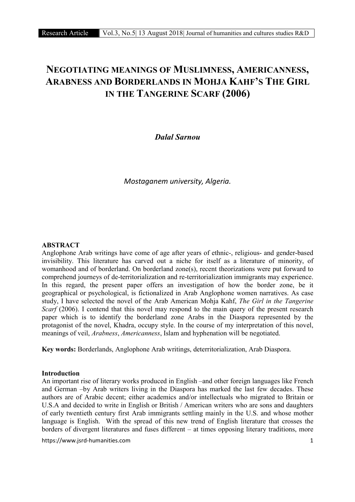# NEGOTIATING MEANINGS OF MUSLIMNESS, AMERICANNESS, ARABNESS AND BORDERLANDS IN MOHJA KAHF'S THE GIRL IN THE TANGERINE SCARF (2006)

*Dalal Sarnou*

*Mostaganem university, Algeria.*

# ABSTRACT

Anglophone Arab writings have come of age after years of ethnic-, religious- and gender-based invisibility. This literature has carved out a niche for itself as a literature of minority, of womanhood and of borderland. On borderland zone(s), recent theorizations were put forward to comprehend journeys of de-territorialization and re-territorialization immigrants may experience. In this regard, the present paper offers an investigation of how the border zone, be it geographical or psychological, is fictionalized in Arab Anglophone women narratives. As case study, I have selected the novel of the Arab American Mohja Kahf, *The Girl in the Tangerine Scarf* (2006). I contend that this novel may respond to the main query of the present research paper which is to identify the borderland zone Arabs in the Diaspora represented by the protagonist of the novel, Khadra, occupy style. In the course of my interpretation of this novel, meanings of veil, *Arabness*, *Americanness*, Islam and hyphenation will be negotiated.

Key words: Borderlands, Anglophone Arab writings, deterritorialization, Arab Diaspora.

# Introduction

An important rise of literary works produced in English –and other foreign languages like French and German –by Arab writers living in the Diaspora has marked the last few decades. These authors are of Arabic decent; either academics and/or intellectuals who migrated to Britain or U.S.A and decided to write in English or British / American writers who are sons and daughters of early twentieth century first Arab immigrants settling mainly in the U.S. and whose mother language is English. With the spread of this new trend of English literature that crosses the borders of divergent literatures and fuses different – at times opposing literary traditions, more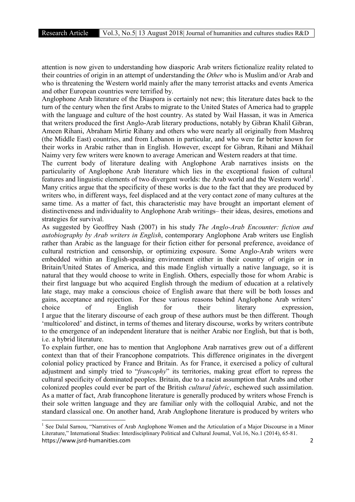attention is now given to understanding how diasporic Arab writers fictionalize reality related to their countries of origin in an attempt of understanding the *Other* who is Muslim and/or Arab and who is threatening the Western world mainly after the many terrorist attacks and events America and other European countries were terrified by.

Anglophone Arab literature of the Diaspora is certainly not new; this literature dates back to the turn of the century when the first Arabs to migrate to the United States of America had to grapple with the language and culture of the host country. As stated by Wail Hassan, it was in America that writers produced the first Anglo-Arab literary productions, notably by Gibran Khalil Gibran, Ameen Rihani, Abraham Mirtie Rihany and others who were nearly all originally from Mashreq (the Middle East) countries, and from Lebanon in particular, and who were far better known for their works in Arabic rather than in English. However, except for Gibran, Rihani and Mikhail Naimy very few writers were known to average American and Western readers at that time.

The current body of literature dealing with Anglophone Arab narratives insists on the particularity of Anglophone Arab literature which lies in the exceptional fusion of cultural features and linguistic elements of two divergent worlds: the Arab world and the Western world<sup>1</sup>. Many critics argue that the specificity of these works is due to the fact that they are produced by writers who, in different ways, feel displaced and at the very contact zone of many cultures at the same time. As a matter of fact, this characteristic may have brought an important element of distinctiveness and individuality to Anglophone Arab writings– their ideas, desires, emotions and strategies for survival.

As suggested by Geoffrey Nash (2007) in his study *The Anglo-Arab Encounter: fiction and autobiography by Arab writers in English*, contemporary Anglophone Arab writers use English rather than Arabic as the language for their fiction either for personal preference, avoidance of cultural restriction and censorship, or optimizing exposure. Some Anglo-Arab writers were embedded within an English-speaking environment either in their country of origin or in Britain/United States of America, and this made English virtually a native language, so it is natural that they would choose to write in English. Others, especially those for whom Arabic is their first language but who acquired English through the medium of education at a relatively late stage, may make a conscious choice of English aware that there will be both losses and gains, acceptance and rejection. For these various reasons behind Anglophone Arab writers' choice of English for their literary expression, I argue that the literary discourse of each group of these authors must be then different. Though 'multicolored' and distinct, in terms of themes and literary discourse, works by writers contribute to the emergence of an independent literature that is neither Arabic nor English, but that is both, i.e. a hybrid literature.

To explain further, one has to mention that Anglophone Arab narratives grew out of a different context than that of their Francophone compatriots. This difference originates in the divergent colonial policy practiced by France and Britain. As for France, it exercised a policy of cultural adjustment and simply tried to "*francophy*" its territories, making great effort to repress the cultural specificity of dominated peoples. Britain, due to a racist assumption that Arabs and other colonized peoples could ever be part of the British *cultural fabric*, eschewed such assimilation. As a matter of fact, Arab francophone literature is generally produced by writers whose French is their sole written language and they are familiar only with the colloquial Arabic, and not the standard classical one. On another hand, Arab Anglophone literature is produced by writers who

https://www.jsrd-humanities.com 2 <sup>1</sup> See Dalal Sarnou, "Narratives of Arab Anglophone Women and the Articulation of a Major Discourse in a Minor Literature," International Studies: Interdisciplinary Political and Cultural Journal, Vol.16, No.1 (2014), 65-81.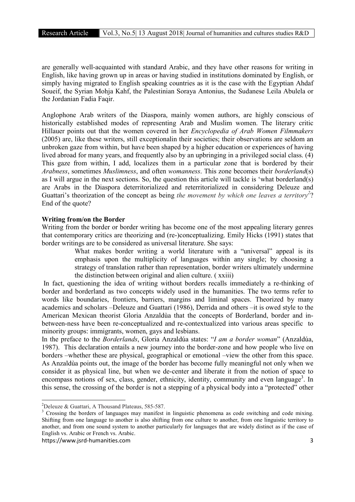are generally well-acquainted with standard Arabic, and they have other reasons for writing in English, like having grown up in areas or having studied in institutions dominated by English, or simply having migrated to English speaking countries as it is the case with the Egyptian Ahdaf Soueif, the Syrian Mohja Kahf, the Palestinian Soraya Antonius, the Sudanese Leila Abulela or the Jordanian Fadia Faqir.

Anglophone Arab writers of the Diaspora, mainly women authors, are highly conscious of historically established modes of representing Arab and Muslim women. The literary critic Hillauer points out that the women covered in her *Encyclopedia of Arab Women Filmmakers*  (2005) are, like these writers, still exceptionalin their societies; their observations are seldom an unbroken gaze from within, but have been shaped by a higher education or experiences of having lived abroad for many years, and frequently also by an upbringing in a privileged social class. (4) This gaze from within, I add, localizes them in a particular zone that is bordered by their *Arabness*, sometimes *Muslimness*, and often *womanness*. This zone becomes their *borderland*(s) as I will argue in the next sections. So, the question this article will tackle is 'what borderland(s) are Arabs in the Diaspora deterritorialized and reterritorialized in considering Deleuze and Guattari's theorization of the concept as being *the movement by which one leaves a territory*<sup>2</sup>? End of the quote?

# Writing from/on the Border

Writing from the border or border writing has become one of the most appealing literary genres that contemporary critics are theorizing and (re-)conceptualizing. Emily Hicks (1991) states that border writings are to be considered as universal literature. She says:

> What makes border writing a world literature with a "universal" appeal is its emphasis upon the multiplicity of languages within any single; by choosing a strategy of translation rather than representation, border writers ultimately undermine the distinction between original and alien culture. ( xxiii)

In fact, questioning the idea of writing without borders recalls immediately a re-thinking of border and borderland as two concepts widely used in the humanities. The two terms refer to words like boundaries, frontiers, barriers, margins and liminal spaces. Theorized by many academics and scholars –Deleuze and Guattari (1986), Derrida and others –it is owed style to the American Mexican theorist Gloria Anzaldùa that the concepts of Borderland, border and inbetween-ness have been re-conceptualized and re-contextualized into various areas specific to minority groups: immigrants, women, gays and lesbians.

In the preface to the *Borderlands*, Gloria Anzaldúa states: "*I am a border woman*" (Anzaldúa, 1987). This declaration entails a new journey into the border-zone and how people who live on borders –whether these are physical, geographical or emotional –view the other from this space. As Anzaldùa points out, the image of the border has become fully meaningful not only when we consider it as physical line, but when we de-center and liberate it from the notion of space to encompass notions of sex, class, gender, ethnicity, identity, community and even language<sup>3</sup>. In this sense, the crossing of the border is not a stepping of a physical body into a "protected" other

 $\frac{1}{2}$ 

 $^{2}$ Deleuze & Guattari, A Thousand Plateaus, 585-587.<br><sup>3</sup> Crossing the borders of languages may manifest in linguistic phenomena as code switching and code mixing. Shifting from one language to another is also shifting from one culture to another, from one linguistic territory to another, and from one sound system to another particularly for languages that are widely distinct as if the case of English vs. Arabic or French vs. Arabic.

https://www.jsrd-humanities.com 3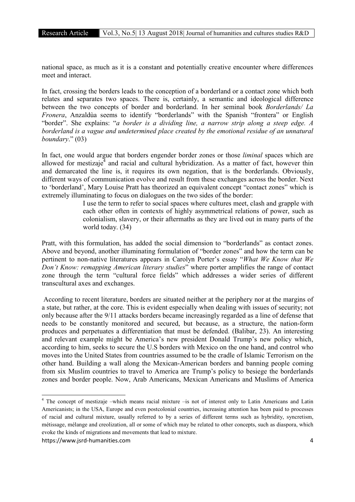national space, as much as it is a constant and potentially creative encounter where differences meet and interact.

In fact, crossing the borders leads to the conception of a borderland or a contact zone which both relates and separates two spaces. There is, certainly, a semantic and ideological difference between the two concepts of border and borderland. In her seminal book *Borderlands/ La Fronera*, Anzaldùa seems to identify "borderlands" with the Spanish "frontera" or English "border". She explains: "*a border is a dividing line, a narrow strip along a steep edge. A borderland is a vague and undetermined place created by the emotional residue of an unnatural boundary*." (03)

In fact, one would argue that borders engender border zones or those *liminal* spaces which are allowed for mestizaje $4$  and racial and cultural hybridization. As a matter of fact, however thin and demarcated the line is, it requires its own negation, that is the borderlands. Obviously, different ways of communication evolve and result from these exchanges across the border. Next to 'borderland', Mary Louise Pratt has theorized an equivalent concept "contact zones" which is extremely illuminating to focus on dialogues on the two sides of the border:

> I use the term to refer to social spaces where cultures meet, clash and grapple with each other often in contexts of highly asymmetrical relations of power, such as colonialism, slavery, or their aftermaths as they are lived out in many parts of the world today. (34)

Pratt, with this formulation, has added the social dimension to "borderlands" as contact zones. Above and beyond, another illuminating formulation of "border zones" and how the term can be pertinent to non-native literatures appears in Carolyn Porter's essay "*What We Know that We Don't Know: remapping American literary studies*" where porter amplifies the range of contact zone through the term "cultural force fields" which addresses a wider series of different transcultural axes and exchanges.

According to recent literature, borders are situated neither at the periphery nor at the margins of a state, but rather, at the core. This is evident especially when dealing with issues of security; not only because after the 9/11 attacks borders became increasingly regarded as a line of defense that needs to be constantly monitored and secured, but because, as a structure, the nation-form produces and perpetuates a differentiation that must be defended. (Balibar, 23). An interesting and relevant example might be America's new president Donald Trump's new policy which, according to him, seeks to secure the U.S borders with Mexico on the one hand, and control who moves into the United States from countries assumed to be the cradle of Islamic Terrorism on the other hand. Building a wall along the Mexican-American borders and banning people coming from six Muslim countries to travel to America are Trump's policy to besiege the borderlands zones and border people. Now, Arab Americans, Mexican Americans and Muslims of America

<sup>4</sup> The concept of mestizaje –which means racial mixture –is not of interest only to Latin Americans and Latin Americanists; in the USA, Europe and even postcolonial countries, increasing attention has been paid to processes of racial and cultural mixture, usually referred to by a series of different terms such as hybridity, syncretism, métissage, mélange and creolization, all or some of which may be related to other concepts, such as diaspora, which evoke the kinds of migrations and movements that lead to mixture.

https://www.jsrd-humanities.com 4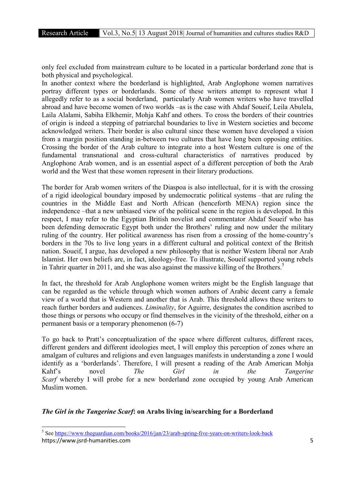only feel excluded from mainstream culture to be located in a particular borderland zone that is both physical and psychological.

In another context where the borderland is highlighted, Arab Anglophone women narratives portray different types or borderlands. Some of these writers attempt to represent what I allegedly refer to as a social borderland, particularly Arab women writers who have travelled abroad and have become women of two worlds –as is the case with Ahdaf Soueif, Leila Abulela, Laila Alalami, Sabiha Elkhemir, Mohja Kahf and others. To cross the borders of their countries of origin is indeed a stepping of patriarchal boundaries to live in Western societies and become acknowledged writers. Their border is also cultural since these women have developed a vision from a margin position standing in-between two cultures that have long been opposing entities. Crossing the border of the Arab culture to integrate into a host Western culture is one of the fundamental transnational and cross-cultural characteristics of narratives produced by Anglophone Arab women, and is an essential aspect of a different perception of both the Arab world and the West that these women represent in their literary productions.

The border for Arab women writers of the Diaspoa is also intellectual, for it is with the crossing of a rigid ideological boundary imposed by undemocratic political systems –that are ruling the countries in the Middle East and North African (henceforth MENA) region since the independence –that a new unbiased view of the political scene in the region is developed. In this respect, I may refer to the Egyptian British novelist and commentator Ahdaf Soueif who has been defending democratic Egypt both under the Brothers' ruling and now under the military ruling of the country. Her political awareness has risen from a crossing of the home-country's borders in the 70s to live long years in a different cultural and political context of the British nation. Soueif, I argue, has developed a new philosophy that is neither Western liberal nor Arab Islamist. Her own beliefs are, in fact, ideology-free. To illustrate, Soueif supported young rebels in Tahrir quarter in 2011, and she was also against the massive killing of the Brothers.<sup>5</sup>

In fact, the threshold for Arab Anglophone women writers might be the English language that can be regarded as the vehicle through which women authors of Arabic decent carry a female view of a world that is Western and another that is Arab. This threshold allows these writers to reach further borders and audiences. *Liminality*, for Aguirre, designates the condition ascribed to those things or persons who occupy or find themselves in the vicinity of the threshold, either on a permanent basis or a temporary phenomenon (6-7)

To go back to Pratt's conceptualization of the space where different cultures, different races, different genders and different ideologies meet, I will employ this perception of zones where an amalgam of cultures and religions and even languages manifests in understanding a zone I would identify as a 'borderlands'. Therefore, I will present a reading of the Arab American Mohja Kahf's novel *The Girl in the Tangerine Scarf* whereby I will probe for a new borderland zone occupied by young Arab American Muslim women.

# *The Girl in the Tangerine Scarf*: on Arabs living in/searching for a Borderland

<sup>&</sup>lt;sup>5</sup> See https://www.theguardian.com/books/2016/jan/23/arab-spring-five-years-on-writers-look-back

https://www.jsrd-humanities.com 5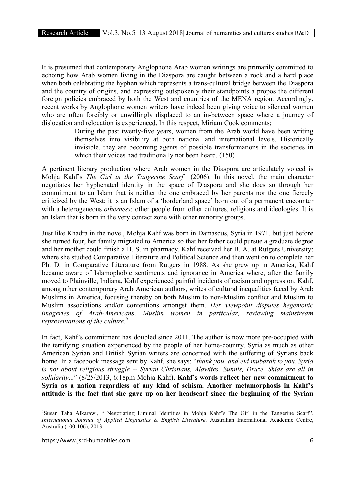It is presumed that contemporary Anglophone Arab women writings are primarily committed to echoing how Arab women living in the Diaspora are caught between a rock and a hard place when both celebrating the hyphen which represents a trans-cultural bridge between the Diaspora and the country of origins, and expressing outspokenly their standpoints a propos the different foreign policies embraced by both the West and countries of the MENA region. Accordingly, recent works by Anglophone women writers have indeed been giving voice to silenced women who are often forcibly or unwillingly displaced to an in-between space where a journey of dislocation and relocation is experienced. In this respect, Miriam Cook comments:

> During the past twenty-five years, women from the Arab world have been writing themselves into visibility at both national and international levels. Historically invisible, they are becoming agents of possible transformations in the societies in which their voices had traditionally not been heard. (150)

A pertinent literary production where Arab women in the Diaspora are articulately voiced is Mohja Kahf's *The Girl in the Tangerine Scarf* (2006). In this novel, the main character negotiates her hyphenated identity in the space of Diaspora and she does so through her commitment to an Islam that is neither the one embraced by her parents nor the one fiercely criticized by the West; it is an Islam of a 'borderland space' born out of a permanent encounter with a heterogeneous *otherness*: other people from other cultures, religions and ideologies. It is an Islam that is born in the very contact zone with other minority groups.

Just like Khadra in the novel, Mohja Kahf was born in Damascus, Syria in 1971, but just before she turned four, her family migrated to America so that her father could pursue a graduate degree and her mother could finish a B. S. in pharmacy. Kahf received her B. A. at Rutgers University; where she studied Comparative Literature and Political Science and then went on to complete her Ph. D. in Comparative Literature from Rutgers in 1988. As she grew up in America, Kahf became aware of Islamophobic sentiments and ignorance in America where, after the family moved to Plainville, Indiana, Kahf experienced painful incidents of racism and oppression. Kahf, among other contemporary Arab American authors, writes of cultural inequalities faced by Arab Muslims in America, focusing thereby on both Muslim to non-Muslim conflict and Muslim to Muslim associations and/or contentions amongst them. *Her viewpoint disputes hegemonic imageries of Arab-Americans, Muslim women in particular, reviewing mainstream representations of the culture.6*

In fact, Kahf's commitment has doubled since 2011. The author is now more pre-occupied with the terrifying situation experienced by the people of her home-country, Syria as much as other American Syrian and British Syrian writers are concerned with the suffering of Syrians back home. In a facebook message sent by Kahf, she says: "*thank you, and eid mubarak to you. Syria is not about religious struggle -- Syrian Christians, Alawites, Sunnis, Druze, Shias are all in solidarity*..." (8/25/2013, 6:18pm Mohja Kahf). Kahf's words reflect her new commitment to Syria as a nation regardless of any kind of schism. Another metamorphosis in Kahf's attitude is the fact that she gave up on her headscarf since the beginning of the Syrian

 $\frac{1}{6}$ <sup>6</sup>Susan Taha Alkarawi, " Negotiating Liminal Identities in Mohja Kahf's The Girl in the Tangerine Scarf", *International Journal of Applied Linguistics & English Literature*. Australian International Academic Centre, Australia (100-106), 2013.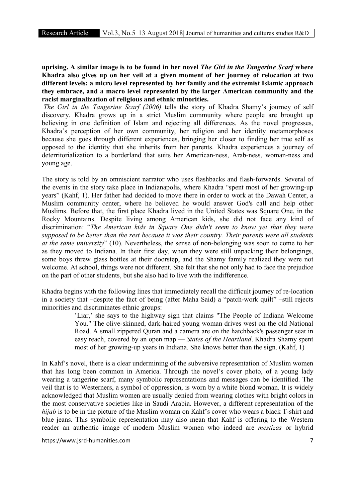uprising. A similar image is to be found in her novel *The Girl in the Tangerine Scarf* where Khadra also gives up on her veil at a given moment of her journey of relocation at two different levels: a micro level represented by her family and the extremist Islamic approach they embrace, and a macro level represented by the larger American community and the racist marginalization of religious and ethnic minorities.

*The Girl in the Tangerine Scarf (2006)* tells the story of Khadra Shamy's journey of self discovery. Khadra grows up in a strict Muslim community where people are brought up believing in one definition of Islam and rejecting all differences. As the novel progresses, Khadra's perception of her own community, her religion and her identity metamorphoses because she goes through different experiences, bringing her closer to finding her true self as opposed to the identity that she inherits from her parents. Khadra experiences a journey of deterritorialization to a borderland that suits her American-ness, Arab-ness, woman-ness and young age.

The story is told by an omniscient narrator who uses flashbacks and flash-forwards. Several of the events in the story take place in Indianapolis, where Khadra "spent most of her growing-up years" (Kahf, 1). Her father had decided to move there in order to work at the Dawah Center, a Muslim community center, where he believed he would answer God's call and help other Muslims. Before that, the first place Khadra lived in the United States was Square One, in the Rocky Mountains. Despite living among American kids, she did not face any kind of discrimination: "*The American kids in Square One didn't seem to know yet that they were supposed to be better than the rest because it was their country. Their parents were all students at the same university*" (10). Nevertheless, the sense of non-belonging was soon to come to her as they moved to Indiana. In their first day, when they were still unpacking their belongings, some boys threw glass bottles at their doorstep, and the Shamy family realized they were not welcome. At school, things were not different. She felt that she not only had to face the prejudice on the part of other students, but she also had to live with the indifference.

Khadra begins with the following lines that immediately recall the difficult journey of re-location in a society that –despite the fact of being (after Maha Said) a "patch-work quilt" –still rejects minorities and discriminates ethnic groups:

> 'Liar,' she says to the highway sign that claims "The People of Indiana Welcome You." The olive-skinned, dark-haired young woman drives west on the old National Road. A small zippered Quran and a camera are on the hatchback's passenger seat in easy reach, covered by an open map — *States of the Heartland*. Khadra Shamy spent most of her growing-up years in Indiana. She knows better than the sign. (Kahf, 1)

In Kahf's novel, there is a clear undermining of the subversive representation of Muslim women that has long been common in America. Through the novel's cover photo, of a young lady wearing a tangerine scarf, many symbolic representations and messages can be identified. The veil that is to Westerners, a symbol of oppression, is worn by a white blond woman. It is widely acknowledged that Muslim women are usually denied from wearing clothes with bright colors in the most conservative societies like in Saudi Arabia. However, a different representation of the *hijab* is to be in the picture of the Muslim woman on Kahf's cover who wears a black T-shirt and blue jeans. This symbolic representation may also mean that Kahf is offering to the Western reader an authentic image of modern Muslim women who indeed are *mestizas* or hybrid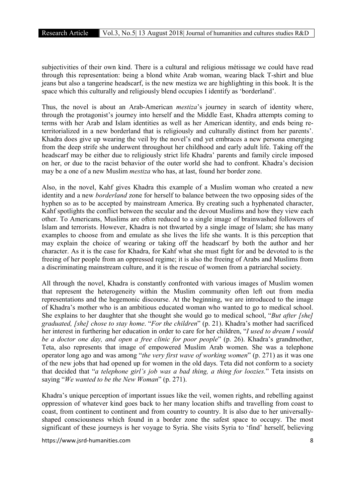subjectivities of their own kind. There is a cultural and religious métissage we could have read through this representation: being a blond white Arab woman, wearing black T-shirt and blue jeans but also a tangerine headscarf, is the new mestiza we are highlighting in this book. It is the space which this culturally and religiously blend occupies I identify as 'borderland'.

Thus, the novel is about an Arab-American *mestiza*'s journey in search of identity where, through the protagonist's journey into herself and the Middle East, Khadra attempts coming to terms with her Arab and Islam identities as well as her American identity, and ends being reterritorialized in a new borderland that is religiously and culturally distinct from her parents'. Khadra does give up wearing the veil by the novel's end yet embraces a new persona emerging from the deep strife she underwent throughout her childhood and early adult life. Taking off the headscarf may be either due to religiously strict life Khadra' parents and family circle imposed on her, or due to the racist behavior of the outer world she had to confront. Khadra's decision may be a one of a new Muslim *mestiza* who has, at last, found her border zone.

Also, in the novel, Kahf gives Khadra this example of a Muslim woman who created a new identity and a new *borderland* zone for herself to balance between the two opposing sides of the hyphen so as to be accepted by mainstream America. By creating such a hyphenated character, Kahf spotlights the conflict between the secular and the devout Muslims and how they view each other. To Americans, Muslims are often reduced to a single image of brainwashed followers of Islam and terrorists. However, Khadra is not thwarted by a single image of Islam; she has many examples to choose from and emulate as she lives the life she wants. It is this perception that may explain the choice of wearing or taking off the headscarf by both the author and her character. As it is the case for Khadra, for Kahf what she must fight for and be devoted to is the freeing of her people from an oppressed regime; it is also the freeing of Arabs and Muslims from a discriminating mainstream culture, and it is the rescue of women from a patriarchal society.

All through the novel, Khadra is constantly confronted with various images of Muslim women that represent the heterogeneity within the Muslim community often left out from media representations and the hegemonic discourse. At the beginning, we are introduced to the image of Khadra's mother who is an ambitious educated woman who wanted to go to medical school. She explains to her daughter that she thought she would go to medical school, "*But after [she] graduated, [she] chose to stay home*. "*For the children*" (p. 21). Khadra's mother had sacrificed her interest in furthering her education in order to care for her children, "*I used to dream I would be a doctor one day, and open a free clinic for poor people*" (p. 26). Khadra's grandmother, Teta, also represents that image of empowered Muslim Arab women. She was a telephone operator long ago and was among "*the very first wave of working women*" (p. 271) as it was one of the new jobs that had opened up for women in the old days. Teta did not conform to a society that decided that "*a telephone girl's job was a bad thing, a thing for loozies.*" Teta insists on saying "*We wanted to be the New Woman*" (p. 271).

Khadra's unique perception of important issues like the veil, women rights, and rebelling against oppression of whatever kind goes back to her many location shifts and travelling from coast to coast, from continent to continent and from country to country. It is also due to her universallyshaped consciousness which found in a border zone the safest space to occupy. The most significant of these journeys is her voyage to Syria. She visits Syria to 'find' herself, believing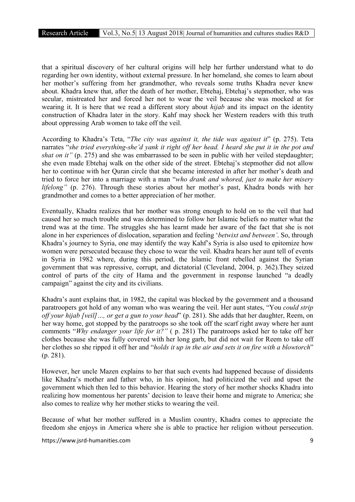that a spiritual discovery of her cultural origins will help her further understand what to do regarding her own identity, without external pressure. In her homeland, she comes to learn about her mother's suffering from her grandmother, who reveals some truths Khadra never knew about. Khadra knew that, after the death of her mother, Ebtehaj, Ebtehaj's stepmother, who was secular, mistreated her and forced her not to wear the veil because she was mocked at for wearing it. It is here that we read a different story about *hijab* and its impact on the identity construction of Khadra later in the story. Kahf may shock her Western readers with this truth about oppressing Arab women to take off the veil.

According to Khadra's Teta, "*The city was against it, the tide was against it*" (p. 275). Teta narrates "*she tried everything-she'd yank it right off her head. I heard she put it in the pot and shat on it"* (p. 275) and she was embarrassed to be seen in public with her veiled stepdaughter; she even made Ebtehaj walk on the other side of the street. Ebtehaj's stepmother did not allow her to continue with her Quran circle that she became interested in after her mother's death and tried to force her into a marriage with a man "*who drank and whored, just to make her misery lifelong"* (p. 276). Through these stories about her mother's past, Khadra bonds with her grandmother and comes to a better appreciation of her mother.

Eventually, Khadra realizes that her mother was strong enough to hold on to the veil that had caused her so much trouble and was determined to follow her Islamic beliefs no matter what the trend was at the time. The struggles she has learnt made her aware of the fact that she is not alone in her experiences of dislocation, separation and feeling '*betwixt and between'*. So, through Khadra's journey to Syria, one may identify the way Kahf's Syria is also used to epitomize how women were persecuted because they chose to wear the veil. Khadra hears her aunt tell of events in Syria in 1982 where, during this period, the Islamic front rebelled against the Syrian government that was repressive, corrupt, and dictatorial (Cleveland, 2004, p. 362).They seized control of parts of the city of Hama and the government in response launched "a deadly campaign" against the city and its civilians.

Khadra's aunt explains that, in 1982, the capital was blocked by the government and a thousand paratroopers got hold of any woman who was wearing the veil. Her aunt states, "You *could strip off your hijab [veil]…, or get a gun to your head*" (p. 281). She adds that her daughter, Reem, on her way home, got stopped by the paratroops so she took off the scarf right away where her aunt comments "*Why endanger your life for it?"* ( p. 281) The paratroops asked her to take off her clothes because she was fully covered with her long garb, but did not wait for Reem to take off her clothes so she ripped it off her and "*holds it up in the air and sets it on fire with a blowtorch*" (p. 281).

However, her uncle Mazen explains to her that such events had happened because of dissidents like Khadra's mother and father who, in his opinion, had politicized the veil and upset the government which then led to this behavior. Hearing the story of her mother shocks Khadra into realizing how momentous her parents' decision to leave their home and migrate to America; she also comes to realize why her mother sticks to wearing the veil.

Because of what her mother suffered in a Muslim country, Khadra comes to appreciate the freedom she enjoys in America where she is able to practice her religion without persecution.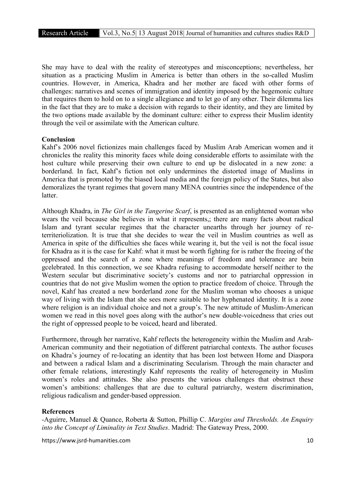She may have to deal with the reality of stereotypes and misconceptions; nevertheless, her situation as a practicing Muslim in America is better than others in the so-called Muslim countries. However, in America, Khadra and her mother are faced with other forms of challenges: narratives and scenes of immigration and identity imposed by the hegemonic culture that requires them to hold on to a single allegiance and to let go of any other. Their dilemma lies in the fact that they are to make a decision with regards to their identity, and they are limited by the two options made available by the dominant culture: either to express their Muslim identity through the veil or assimilate with the American culture.

# Conclusion

Kahf's 2006 novel fictionizes main challenges faced by Muslim Arab American women and it chronicles the reality this minority faces while doing considerable efforts to assimilate with the host culture while preserving their own culture to end up be dislocated in a new zone: a borderland. In fact, Kahf's fiction not only undermines the distorted image of Muslims in America that is promoted by the biased local media and the foreign policy of the States, but also demoralizes the tyrant regimes that govern many MENA countries since the independence of the latter.

Although Khadra, in *The Girl in the Tangerine Scarf*, is presented as an enlightened woman who wears the veil because she believes in what it represents,; there are many facts about radical Islam and tyrant secular regimes that the character unearths through her journey of reterriteriolization. It is true that she decides to wear the veil in Muslim countries as well as America in spite of the difficulties she faces while wearing it, but the veil is not the focal issue for Khadra as it is the case for Kahf: what it must be worth fighting for is rather the freeing of the oppressed and the search of a zone where meanings of freedom and tolerance are bein gcelebrated. In this connection, we see Khadra refusing to accommodate herself neither to the Western secular but discriminative society's customs and nor to patriarchal oppression in countries that do not give Muslim women the option to practice freedom of choice. Through the novel, Kahf has created a new borderland zone for the Muslim woman who chooses a unique way of living with the Islam that she sees more suitable to her hyphenated identity. It is a zone where religion is an individual choice and not a group's. The new attitude of Muslim-American women we read in this novel goes along with the author's new double-voicedness that cries out the right of oppressed people to be voiced, heard and liberated.

Furthermore, through her narrative, Kahf reflects the heterogeneity within the Muslim and Arab-American community and their negotiation of different patriarchal contexts. The author focuses on Khadra's journey of re-locating an identity that has been lost between Home and Diaspora and between a radical Islam and a discriminating Secularism. Through the main character and other female relations, interestingly Kahf represents the reality of heterogeneity in Muslim women's roles and attitudes. She also presents the various challenges that obstruct these women's ambitions: challenges that are due to cultural patriarchy, western discrimination, religious radicalism and gender-based oppression.

# References

-Aguirre, Manuel & Quance, Roberta & Sutton, Phillip C. *Margins and Thresholds. An Enquiry into the Concept of Liminality in Text Studies*. Madrid: The Gateway Press, 2000.